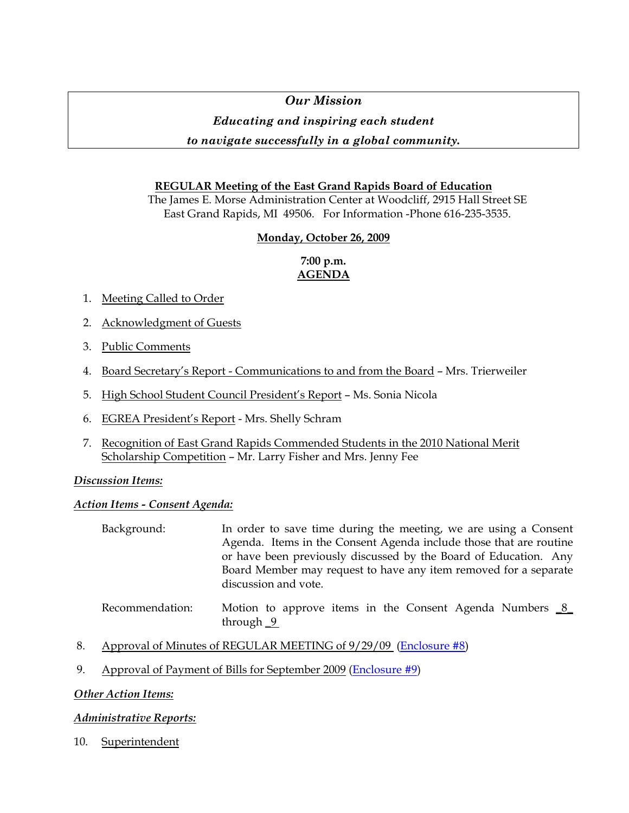# *Our Mission*

## *Educating and inspiring each student*

## *to navigate successfully in a global community.*

### **REGULAR Meeting of the East Grand Rapids Board of Education**

The James E. Morse Administration Center at Woodcliff, 2915 Hall Street SE East Grand Rapids, MI 49506. For Information -Phone 616-235-3535.

#### **Monday, October 26, 2009**

### **7:00 p.m. AGENDA**

- 1. Meeting Called to Order
- 2. Acknowledgment of Guests
- 3. Public Comments
- 4. Board Secretary's Report Communications to and from the Board Mrs. Trierweiler
- 5. High School Student Council President's Report Ms. Sonia Nicola
- 6. EGREA President's Report Mrs. Shelly Schram
- 7. Recognition of East Grand Rapids Commended Students in the 2010 National Merit Scholarship Competition – Mr. Larry Fisher and Mrs. Jenny Fee

#### *Discussion Items:*

#### *Action Items - Consent Agenda:*

| Background: | In order to save time during the meeting, we are using a Consent   |
|-------------|--------------------------------------------------------------------|
|             | Agenda. Items in the Consent Agenda include those that are routine |
|             | or have been previously discussed by the Board of Education. Any   |
|             | Board Member may request to have any item removed for a separate   |
|             | discussion and vote.                                               |
|             |                                                                    |

#### Recommendation: Motion to approve items in the Consent Agenda Numbers 8 through \_9

- 8. Approval of Minutes of REGULAR MEETING of 9/29/09 ([Enclosure #8\)](http://www.egrps.org/district/boardofed/Enclosures/102609/Enc8.pdf)
- 9. Approval of Payment of Bills for September 2009 [\(Enclosure #9](http://www.egrps.org/district/boardofed/Enclosures/102609/Enc9.pdf))

#### *Other Action Items:*

#### *Administrative Reports:*

10. Superintendent